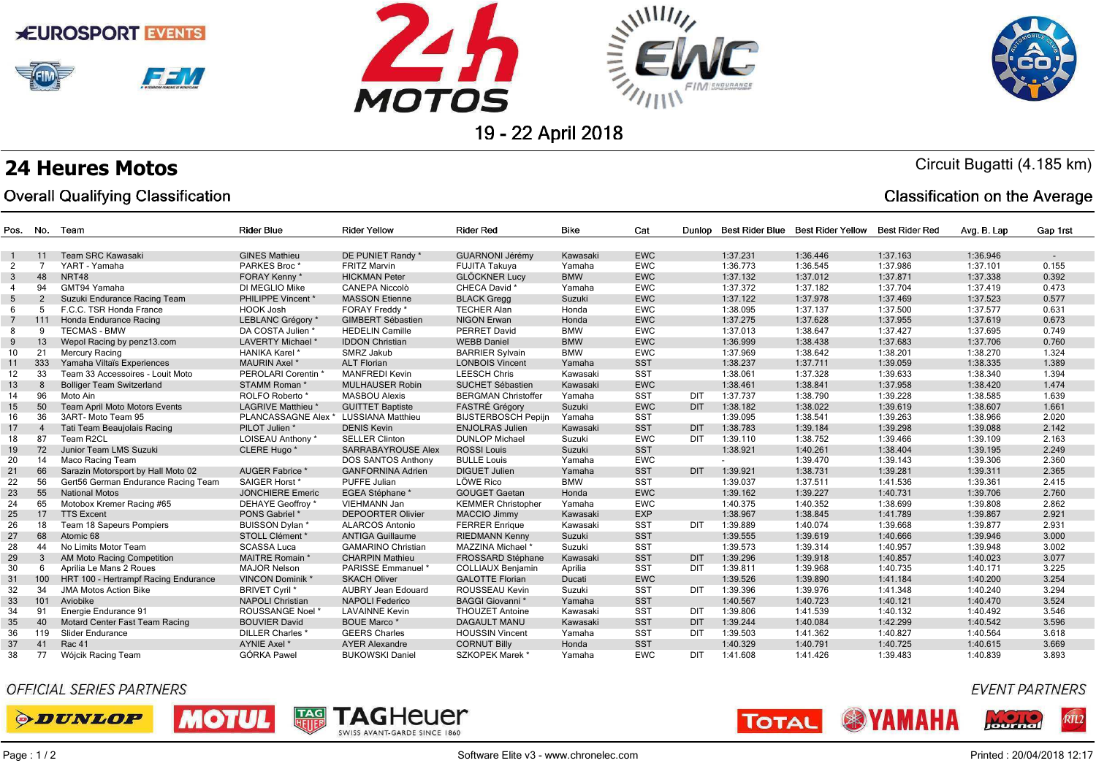









# 19 - 22 April 2018

**24 Heures Motos** Circuit Bugatti (4.185 km)

**Classification on the Average** 

# **Overall Qualifying Classification**

| Pos.           | No.            | Team                                 | <b>Rider Blue</b>         | <b>Rider Yellow</b>       | <b>Rider Red</b>           | <b>Bike</b> | Cat        | Dunlop     |          | Best Rider Blue Best Rider Yellow | Best Rider Red | Avg. B. Lap | Gap 1rst |
|----------------|----------------|--------------------------------------|---------------------------|---------------------------|----------------------------|-------------|------------|------------|----------|-----------------------------------|----------------|-------------|----------|
|                |                |                                      |                           |                           |                            |             |            |            |          |                                   |                |             |          |
|                | 11             | Team SRC Kawasaki                    | <b>GINES Mathieu</b>      | DE PUNIET Randy *         | <b>GUARNONI Jérémy</b>     | Kawasaki    | <b>EWC</b> |            | 1:37.231 | 1:36.446                          | 1:37.163       | 1:36.946    | $\sim$   |
| 2              | $\mathbf{z}$   | YART - Yamaha                        | PARKES Broc*              | <b>FRITZ Marvin</b>       | <b>FUJITA Takuya</b>       | Yamaha      | <b>EWC</b> |            | 1:36.773 | 1:36.545                          | 1:37.986       | 1:37.101    | 0.155    |
| $\overline{3}$ | 48             | NRT48                                | FORAY Kenny *             | <b>HICKMAN Peter</b>      | <b>GLÖCKNER Lucy</b>       | <b>BMW</b>  | <b>EWC</b> |            | 1:37.132 | 1:37.012                          | 1:37.871       | 1:37.338    | 0.392    |
| -4             | 94             | GMT94 Yamaha                         | DI MEGLIO Mike            | <b>CANEPA Niccolò</b>     | CHECA David *              | Yamaha      | <b>EWC</b> |            | 1:37.372 | 1:37.182                          | 1:37.704       | 1:37.419    | 0.473    |
| 5              | $\overline{2}$ | Suzuki Endurance Racing Team         | PHILIPPE Vincent *        | <b>MASSON Etienne</b>     | <b>BLACK Gregg</b>         | Suzuki      | <b>EWC</b> |            | 1:37.122 | 1:37.978                          | 1:37.469       | 1:37.523    | 0.577    |
| 6              | 5              | F.C.C. TSR Honda France              | <b>HOOK Josh</b>          | FORAY Freddy *            | <b>TECHER Alan</b>         | Honda       | EWC        |            | 1:38.095 | 1:37.137                          | 1:37.500       | 1:37.577    | 0.631    |
| $\overline{7}$ | 111            | Honda Endurance Racing               | LEBLANC Grégory *         | <b>GIMBERT Sébastien</b>  | NIGON Erwan                | Honda       | <b>EWC</b> |            | 1:37.275 | 1:37.628                          | 1:37.955       | 1:37.619    | 0.673    |
| -8             | 9              | <b>TECMAS - BMW</b>                  | DA COSTA Julien *         | <b>HEDELIN Camille</b>    | <b>PERRET David</b>        | <b>BMW</b>  | EWC        |            | 1:37.013 | 1:38.647                          | 1:37.427       | 1:37.695    | 0.749    |
| -9             | 13             | Wepol Racing by penz13.com           | LAVERTY Michael           | <b>IDDON Christian</b>    | <b>WEBB Daniel</b>         | <b>BMW</b>  | <b>EWC</b> |            | 1:36.999 | 1:38.438                          | 1:37.683       | 1:37.706    | 0.760    |
| 10             | 21             | Mercury Racing                       | HANIKA Karel <sup>*</sup> | SMRZ Jakub                | <b>BARRIER Sylvain</b>     | <b>BMW</b>  | <b>EWC</b> |            | 1:37.969 | 1:38.642                          | 1:38.201       | 1:38.270    | 1.324    |
| 11             | 333            | Yamaha Viltaïs Experiences           | <b>MAURIN Axel *</b>      | <b>ALT Florian</b>        | <b>LONBOIS Vincent</b>     | Yamaha      | <b>SST</b> |            | 1:38.237 | 1:37.711                          | 1:39.059       | 1:38.335    | 1.389    |
| 12             | 33             | Team 33 Accessoires - Louit Moto     | <b>PEROLARI Corentin</b>  | <b>MANFREDI Kevin</b>     | <b>LEESCH Chris</b>        | Kawasaki    | <b>SST</b> |            | 1:38.061 | 1:37.328                          | 1:39.633       | 1:38.340    | 1.394    |
| 13             | 8              | <b>Bolliger Team Switzerland</b>     | STAMM Roman *             | <b>MULHAUSER Robin</b>    | SUCHET Sébastien           | Kawasaki    | <b>EWC</b> |            | 1:38.461 | 1:38.841                          | 1:37.958       | 1:38.420    | 1.474    |
| 14             | 96             | Moto Ain                             | ROLFO Roberto*            | <b>MASBOU Alexis</b>      | <b>BERGMAN Christoffer</b> | Yamaha      | <b>SST</b> | DIT        | 1:37.737 | 1:38.790                          | 1:39.228       | 1:38.585    | 1.639    |
| 15             | 50             | <b>Team April Moto Motors Events</b> | LAGRIVE Matthieu *        | <b>GUITTET Baptiste</b>   | FASTRÉ Grégory             | Suzuki      | <b>EWC</b> | <b>DIT</b> | 1:38.182 | 1:38.022                          | 1:39.619       | 1:38.607    | 1.661    |
| 16             | 36             | 3ART-Moto Team 95                    | PLANCASSAGNE Alex *       | <b>LUSSIANA Matthieu</b>  | <b>BIJSTERBOSCH Pepijn</b> | Yamaha      | <b>SST</b> |            | 1:39.095 | 1:38.541                          | 1:39.263       | 1:38.966    | 2.020    |
| 17             | $\overline{4}$ | Tati Team Beaujolais Racing          | PILOT Julien *            | <b>DENIS Kevin</b>        | <b>ENJOLRAS Julien</b>     | Kawasaki    | <b>SST</b> | <b>DIT</b> | 1:38.783 | 1:39.184                          | 1:39.298       | 1:39.088    | 2.142    |
| 18             | 87             | Team R2CL                            | LOISEAU Anthony *         | <b>SELLER Clinton</b>     | <b>DUNLOP Michael</b>      | Suzuki      | <b>EWC</b> | <b>DIT</b> | 1:39.110 | 1:38.752                          | 1:39.466       | 1:39.109    | 2.163    |
| 19             | 72             | Junior Team LMS Suzuki               | CLERE Hugo*               | SARRABAYROUSE Alex        | <b>ROSSI Louis</b>         | Suzuki      | <b>SST</b> |            | 1:38.921 | 1:40.261                          | 1:38.404       | 1:39.195    | 2.249    |
| 20             | 14             | Maco Racing Team                     |                           | <b>DOS SANTOS Anthony</b> | <b>BULLE Louis</b>         | Yamaha      | EWC        |            |          | 1:39.470                          | 1:39.143       | 1:39.306    | 2.360    |
| 21             | 66             | Sarazin Motorsport by Hall Moto 02   | <b>AUGER Fabrice</b> *    | <b>GANFORNINA Adrien</b>  | <b>DIGUET Julien</b>       | Yamaha      | <b>SST</b> | DIT.       | 1:39.921 | 1:38.731                          | 1:39.281       | 1:39.311    | 2.365    |
| 22             | 56             | Gert56 German Endurance Racing Team  | SAIGER Horst *            | PUFFE Julian              | LÖWE Rico                  | <b>BMW</b>  | <b>SST</b> |            | 1:39.037 | 1:37.511                          | 1:41.536       | 1:39.361    | 2.415    |
| 23             | 55             | <b>National Motos</b>                | <b>JONCHIERE Emeric</b>   | EGEA Stéphane*            | <b>GOUGET Gaetan</b>       | Honda       | <b>EWC</b> |            | 1:39.162 | 1:39.227                          | 1:40.731       | 1:39.706    | 2.760    |
| 24             | 65             | Motobox Kremer Racing #65            | DEHAYE Geoffroy *         | VIEHMANN Jan              | <b>KEMMER Christopher</b>  | Yamaha      | <b>EWC</b> |            | 1:40.375 | 1:40.352                          | 1:38.699       | 1:39.808    | 2.862    |
| 25             | 17             | <b>TTS Excent</b>                    | PONS Gabriel              | <b>DEPOORTER Olivier</b>  | <b>MACCIO Jimmy</b>        | Kawasaki    | <b>EXP</b> |            | 1:38.967 | 1:38.845                          | 1:41.789       | 1:39.867    | 2.921    |
| 26             | 18             | Team 18 Sapeurs Pompiers             | <b>BUISSON Dylan*</b>     | <b>ALARCOS Antonio</b>    | <b>FERRER Enrique</b>      | Kawasaki    | <b>SST</b> | <b>DIT</b> | 1:39.889 | 1:40.074                          | 1:39.668       | 1:39.877    | 2.931    |
| 27             | 68             | Atomic 68                            | STOLL Clément*            | <b>ANTIGA Guillaume</b>   | <b>RIEDMANN Kenny</b>      | Suzuki      | <b>SST</b> |            | 1:39.555 | 1:39.619                          | 1:40.666       | 1:39.946    | 3.000    |
| 28             | 44             | No Limits Motor Team                 | <b>SCASSA Luca</b>        | <b>GAMARINO Christian</b> | MAZZINA Michael*           | Suzuki      | <b>SST</b> |            | 1:39.573 | 1:39.314                          | 1:40.957       | 1:39.948    | 3.002    |
| 29             | 3              | AM Moto Racing Competition           | <b>MAITRE Romain*</b>     | <b>CHARPIN Mathieu</b>    | FROSSARD Stéphane          | Kawasaki    | <b>SST</b> | <b>DIT</b> | 1:39.296 | 1:39.918                          | 1:40.857       | 1:40.023    | 3.077    |
| 30             | 6              | Aprilia Le Mans 2 Roues              | <b>MAJOR Nelson</b>       | PARISSE Emmanuel *        | <b>COLLIAUX Benjamin</b>   | Aprilia     | <b>SST</b> | <b>DIT</b> | 1:39.811 | 1:39.968                          | 1:40.735       | 1:40.171    | 3.225    |
| 31             | 100            | HRT 100 - Hertrampf Racing Endurance | <b>VINCON Dominik*</b>    | <b>SKACH Oliver</b>       | <b>GALOTTE Florian</b>     | Ducati      | <b>EWC</b> |            | 1:39.526 | 1:39.890                          | 1:41.184       | 1:40.200    | 3.254    |
| 32             | 34             | <b>JMA Motos Action Bike</b>         | <b>BRIVET Cyril *</b>     | <b>AUBRY Jean Edouard</b> | ROUSSEAU Kevin             | Suzuki      | <b>SST</b> | <b>DIT</b> | 1:39.396 | 1:39.976                          | 1:41.348       | 1:40.240    | 3.294    |
| 33             | 101            | Aviobike                             | <b>NAPOLI Christian</b>   | <b>NAPOLI Federico</b>    | <b>BAGGI Giovanni</b> *    | Yamaha      | <b>SST</b> |            | 1:40.567 | 1:40.723                          | 1:40.121       | 1:40.470    | 3.524    |
| 34             | 91             | Energie Endurance 91                 | <b>ROUSSANGE Noel</b> *   | <b>LAVAINNE Kevin</b>     | <b>THOUZET Antoine</b>     | Kawasaki    | SST        | DIT        | 1:39.806 | 1:41.539                          | 1:40.132       | 1:40.492    | 3.546    |
| 35             | 40             | Motard Center Fast Team Racing       | <b>BOUVIER David</b>      | BOUE Marco*               | <b>DAGAULT MANU</b>        | Kawasaki    | <b>SST</b> | <b>DIT</b> | 1:39.244 | 1:40.084                          | 1:42.299       | 1:40.542    | 3.596    |
| 36             | 119            | <b>Slider Endurance</b>              | DILLER Charles *          | <b>GEERS Charles</b>      | <b>HOUSSIN Vincent</b>     | Yamaha      | <b>SST</b> | DIT        | 1:39.503 | 1:41.362                          | 1:40.827       | 1:40.564    | 3.618    |
| 37             | 41             | Rac 41                               | AYNIE Axel *              | <b>AYER Alexandre</b>     | <b>CORNUT Billy</b>        | Honda       | <b>SST</b> |            | 1:40.329 | 1:40.791                          | 1:40.725       | 1:40.615    | 3.669    |
| 38             | 77             | Wójcik Racing Team                   | GÓRKA Pawel               | <b>BUKOWSKI Daniel</b>    | <b>SZKOPEK Marek*</b>      | Yamaha      | <b>EWC</b> | <b>DIT</b> | 1:41.608 | 1:41.426                          | 1:39.483       | 1:40.839    | 3.893    |

### **OFFICIAL SERIES PARTNERS**

**MOTUL** 







**EVENT PARTNERS**